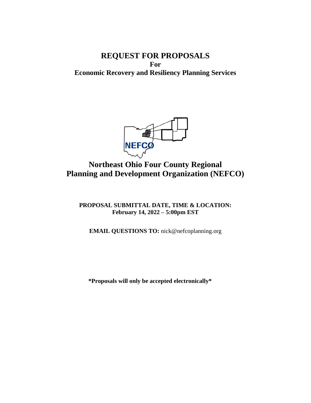## **REQUEST FOR PROPOSALS For Economic Recovery and Resiliency Planning Services**



# **Northeast Ohio Four County Regional Planning and Development Organization (NEFCO)**

**PROPOSAL SUBMITTAL DATE, TIME & LOCATION: February 14, 2022 – 5:00pm EST**

**EMAIL QUESTIONS TO:** nick@nefcoplanning.org

**\*Proposals will only be accepted electronically\***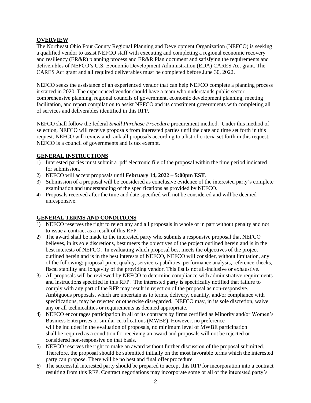## **OVERVIEW**

The Northeast Ohio Four County Regional Planning and Development Organization (NEFCO) is seeking a qualified vendor to assist NEFCO staff with executing and completing a regional economic recovery and resiliency (ER&R) planning process and ER&R Plan document and satisfying the requirements and deliverables of NEFCO's U.S. Economic Development Administration (EDA) CARES Act grant. The CARES Act grant and all required deliverables must be completed before June 30, 2022.

NEFCO seeks the assistance of an experienced vendor that can help NEFCO complete a planning process it started in 2020. The experienced vendor should have a team who understands public sector comprehensive planning, regional councils of government, economic development planning, meeting facilitation, and report compilation to assist NEFCO and its constituent governments with completing all of services and deliverables identified in this RFP.

NEFCO shall follow the federal *Small Purchase Procedure* procurement method. Under this method of selection, NEFCO will receive proposals from interested parties until the date and time set forth in this request. NEFCO will review and rank all proposals according to a list of criteria set forth in this request. NEFCO is a council of governments and is tax exempt.

## **GENERAL INSTRUCTIONS**

- 1) Interested parties must submit a .pdf electronic file of the proposal within the time period indicated for submission.
- 2) NEFCO will accept proposals until **February 14, 2022 – 5:00pm EST**.
- 3) Submission of a proposal will be considered as conclusive evidence of the interested party's complete examination and understanding of the specifications as provided by NEFCO.
- 4) Proposals received after the time and date specified will not be considered and will be deemed unresponsive.

## **GENERAL TERMS AND CONDITIONS**

- 1) NEFCO reserves the right to reject any and all proposals in whole or in part without penalty and not to issue a contract as a result of this RFP.
- 2) The award shall be made to the interested party who submits a responsive proposal that NEFCO believes, in its sole discretions, best meets the objectives of the project outlined herein and is in the best interests of NEFCO. In evaluating which proposal best meets the objectives of the project outlined herein and is in the best interests of NEFCO, NEFCO will consider, without limitation, any of the following: proposal price, quality, service capabilities, performance analysis, reference checks, fiscal stability and longevity of the providing vendor. This list is not all-inclusive or exhaustive.
- 3) All proposals will be reviewed by NEFCO to determine compliance with administrative requirements and instructions specified in this RFP. The interested party is specifically notified that failure to comply with any part of the RFP may result in rejection of the proposal as non-responsive. Ambiguous proposals, which are uncertain as to terms, delivery, quantity, and/or compliance with specifications, may be rejected or otherwise disregarded. NEFCO may, in its sole discretion, waive any or all technicalities or requirements as deemed appropriate.
- 4) NEFCO encourages participation in all of its contracts by firms certified as Minority and/or Women's Business Enterprises or similar certifications (MWBE). However, no preference will be included in the evaluation of proposals, no minimum level of MWBE participation shall be required as a condition for receiving an award and proposals will not be rejected or considered non-responsive on that basis.
- 5) NEFCO reserves the right to make an award without further discussion of the proposal submitted. Therefore, the proposal should be submitted initially on the most favorable terms which the interested party can propose. There will be no best and final offer procedure.
- 6) The successful interested party should be prepared to accept this RFP for incorporation into a contract resulting from this RFP. Contract negotiations may incorporate some or all of the interested party's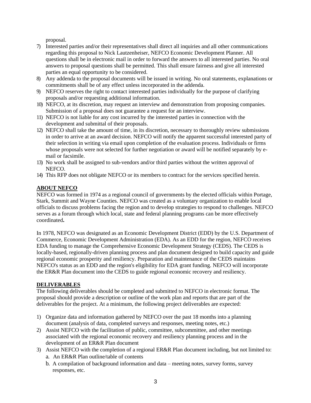proposal.

- 7) Interested parties and/or their representatives shall direct all inquiries and all other communications regarding this proposal to Nick Lautzenheiser, NEFCO Economic Development Planner. All questions shall be in electronic mail in order to forward the answers to all interested parties. No oral answers to proposal questions shall be permitted. This shall ensure fairness and give all interested parties an equal opportunity to be considered.
- 8) Any addenda to the proposal documents will be issued in writing. No oral statements, explanations or commitments shall be of any effect unless incorporated in the addenda.
- 9) NEFCO reserves the right to contact interested parties individually for the purpose of clarifying proposals and/or requesting additional information.
- 10) NEFCO, at its discretion, may request an interview and demonstration from proposing companies. Submission of a proposal does not guarantee a request for an interview.
- 11) NEFCO is not liable for any cost incurred by the interested parties in connection with the development and submittal of their proposals.
- 12) NEFCO shall take the amount of time, in its discretion, necessary to thoroughly review submissions in order to arrive at an award decision. NEFCO will notify the apparent successful interested party of their selection in writing via email upon completion of the evaluation process. Individuals or firms whose proposals were not selected for further negotiation or award will be notified separately by email or facsimile.
- 13) No work shall be assigned to sub-vendors and/or third parties without the written approval of NEFCO.
- 14) This RFP does not obligate NEFCO or its members to contract for the services specified herein.

## **ABOUT NEFCO**

NEFCO was formed in 1974 as a regional council of governments by the elected officials within Portage, Stark, Summit and Wayne Counties. NEFCO was created as a voluntary organization to enable local officials to discuss problems facing the region and to develop strategies to respond to challenges. NEFCO serves as a forum through which local, state and federal planning programs can be more effectively coordinated**.**

In 1978, NEFCO was designated as an Economic Development District (EDD) by the U.S. Department of Commerce, Economic Development Administration (EDA). As an EDD for the region, NEFCO receives EDA funding to manage the Comprehensive Economic Development Strategy (CEDS). The CEDS is locally-based, regionally-driven planning process and plan document designed to build capacity and guide regional economic prosperity and resiliency. Preparation and maintenance of the CEDS maintains NEFCO's status as an EDD and the region's eligibility for EDA grant funding. NEFCO will incorporate the ER&R Plan document into the CEDS to guide regional economic recovery and resiliency.

#### **DELIVERABLES**

The following deliverables should be completed and submitted to NEFCO in electronic format. The proposal should provide a description or outline of the work plan and reports that are part of the deliverables for the project. At a minimum, the following project deliverables are expected:

- 1) Organize data and information gathered by NEFCO over the past 18 months into a planning document (analysis of data, completed surveys and responses, meeting notes, etc.)
- 2) Assist NEFCO with the facilitation of public, committee, subcommittee, and other meetings associated with the regional economic recovery and resiliency planning process and in the development of an ER&R Plan document
- 3) Assist NEFCO with the completion of a regional ER&R Plan document including, but not limited to: a.An ER&R Plan outline/table of contents
	- b. A compilation of background information and data meeting notes, survey forms, survey responses, etc.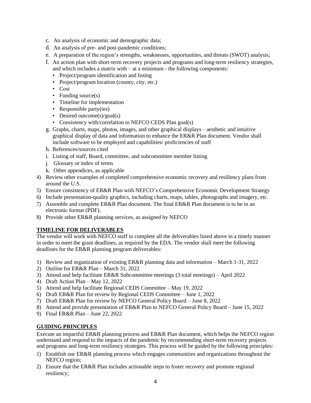- c. An analysis of economic and demographic data;
- d. An analysis of pre- and post-pandemic conditions;
- e. A preparation of the region's strengths, weaknesses, opportunities, and threats (SWOT) analysis;
- f. An action plan with short-term recovery projects and programs and long-term resiliency strategies, and which includes a matrix with  $-$  at a minimum  $-$  the following components:
	- Project/program identification and listing
	- Project/program location (county, city, etc.)
	- Cost
	- Funding source(s)
	- Timeline for implementation
	- Responsible party(ies)
	- Desired outcome(s)/goal(s)
	- Consistency with/correlation to NEFCO CEDS Plan goal(s)
- g. Graphs, charts, maps, photos, images, and other graphical displays aesthetic and intuitive graphical display of data and information to enhance the ER&R Plan document. Vendor shall include software to be employed and capabilities/ proficiencies of staff
- h. References/sources cited
- i. Listing of staff, Board, committee, and subcommittee member listing
- j. Glossary or index of terms
- k. Other appendices, as applicable
- 4) Review other examples of completed comprehensive economic recovery and resiliency plans from around the U.S.
- 5) Ensure consistency of ER&R Plan with NEFCO's Comprehensive Economic Development Strategy
- 6) Include presentation-quality graphics, including charts, maps, tables, photographs and imagery, etc.
- 7) Assemble and complete ER&R Plan document. The final ER&R Plan document is to be in an electronic format (PDF).
- 8) Provide other ER&R planning services, as assigned by NEFCO

## **TIMELINE FOR DELIVERABLES**

The vendor will work with NEFCO staff to complete all the deliverables listed above in a timely manner in order to meet the grant deadlines, as required by the EDA. The vendor shall meet the following deadlines for the ER&R planning program deliverables:

- 1) Review and organization of existing ER&R planning data and information March 1-31, 2022
- 2) Outline for ER&R Plan March 31, 2022
- 3) Attend and help facilitate ER&R Subcommittee meetings (3 total meetings) April 2022
- 4) Draft Action Plan May 12, 2022
- 5) Attend and help facilitate Regional CEDS Committee May 19, 2022
- 6) Draft ER&R Plan for review by Regional CEDS Committee June 1, 2022
- 7) Draft ER&R Plan for review by NEFCO General Policy Board June 8, 2022
- 8) Attend and provide presentation of ER&R Plan to NEFCO General Policy Board June 15, 2022
- 9) Final ER&R Plan June 22, 2022

#### **GUIDING PRINCIPLES**

Execute an impactful ER&R planning process and ER&R Plan document, which helps the NEFCO region understand and respond to the impacts of the pandemic by recommending short-term recovery projects and programs and long-term resiliency strategies. This process will be guided by the following principles:

- 1) Establish our ER&R planning process which engages communities and organizations throughout the NEFCO region;
- 2) Ensure that the ER&R Plan includes actionable steps to foster recovery and promote regional resiliency;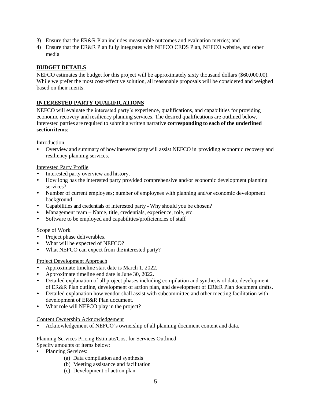- 3) Ensure that the ER&R Plan includes measurable outcomes and evaluation metrics; and
- 4) Ensure that the ER&R Plan fully integrates with NEFCO CEDS Plan, NEFCO website, and other media

## **BUDGET DETAILS**

NEFCO estimates the budget for this project will be approximately sixty thousand dollars (\$60,000.00). While we prefer the most cost-effective solution, all reasonable proposals will be considered and weighed based on their merits.

## **INTERESTED PARTY QUALIFICATIONS**

NEFCO will evaluate the interested party's experience, qualifications, and capabilities for providing economic recovery and resiliency planning services. The desired qualifications are outlined below. Interested parties are required to submit a written narrative **corresponding to each of the underlined section items**:

Introduction

• Overview and summary of how interested party will assist NEFCO in providing economic recovery and resiliency planning services.

#### Interested Party Profile

- Interested party overview and history.
- How long has the interested party provided comprehensive and/or economic development planning services?
- Number of current employees; number of employees with planning and/or economic development background.
- Capabilities and credentials of interested party Why should you be chosen?
- Management team Name, title, credentials, experience, role, etc.
- Software to be employed and capabilities/proficiencies of staff

#### Scope of Work

- Project phase deliverables.
- What will be expected of NEFCO?
- What NEFCO can expect from the interested party?

#### Project Development Approach

- Approximate timeline start date is March 1, 2022.
- Approximate timeline end date is June 30, 2022.
- Detailed explanation of all project phases including compilation and synthesis of data, development of ER&R Plan outline, development of action plan, and development of ER&R Plan document drafts.
- Detailed explanation how vendor shall assist with subcommittee and other meeting facilitation with development of ER&R Plan document.
- What role will NEFCO play in the project?

#### Content Ownership Acknowledgement

• Acknowledgement of NEFCO's ownership of all planning document content and data.

#### Planning Services Pricing Estimate/Cost for Services Outlined

Specify amounts of items below:

- Planning Services:
	- (a) Data compilation and synthesis
	- (b) Meeting assistance and facilitation
	- (c) Development of action plan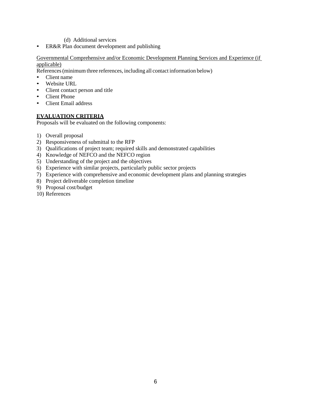- (d) Additional services
- ER&R Plan document development and publishing

#### Governmental Comprehensive and/or Economic Development Planning Services and Experience (if applicable)

References(minimum three references, including all contact information below)

- Client name
- Website URL
- Client contact person and title
- Client Phone
- Client Email address

## **EVALUATION CRITERIA**

Proposals will be evaluated on the following components:

- 1) Overall proposal
- 2) Responsiveness of submittal to the RFP
- 3) Qualifications of project team; required skills and demonstrated capabilities
- 4) Knowledge of NEFCO and the NEFCO region
- 5) Understanding of the project and the objectives
- 6) Experience with similar projects, particularly public sector projects
- 7) Experience with comprehensive and economic development plans and planning strategies
- 8) Project deliverable completion timeline
- 9) Proposal cost/budget
- 10) References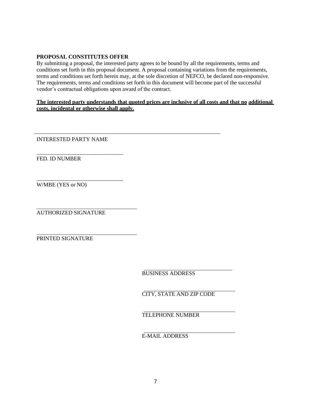## **PROPOSAL CONSTITUTES OFFER**

By submitting a proposal, the interested party agrees to be bound by all the requirements, terms and conditions set forth in this proposal document. A proposal containing variations from the requirements, terms and conditions set forth herein may, at the sole discretion of NEFCO, be declared non-responsive. The requirements, terms and conditions set forth in this document will become part of the successful vendor's contractual obligations upon award of the contract.

## **The interested party understands that quoted prices are inclusive of all costs and that no additional costs, incidental or otherwise shall apply.**

INTERESTED PARTY NAME

\_\_\_\_\_\_\_\_\_\_\_\_\_\_\_\_\_\_\_\_\_\_\_\_\_\_\_\_\_\_\_

FED. ID NUMBER

\_\_\_\_\_\_\_\_\_\_\_\_\_\_\_\_\_\_\_\_\_\_\_\_\_\_\_\_\_\_\_ W/MBE (YES or NO)

AUTHORIZED SIGNATURE

PRINTED SIGNATURE

BUSINESS ADDRESS

CITY, STATE AND ZIP CODE

TELEPHONE NUMBER

E-MAIL ADDRESS